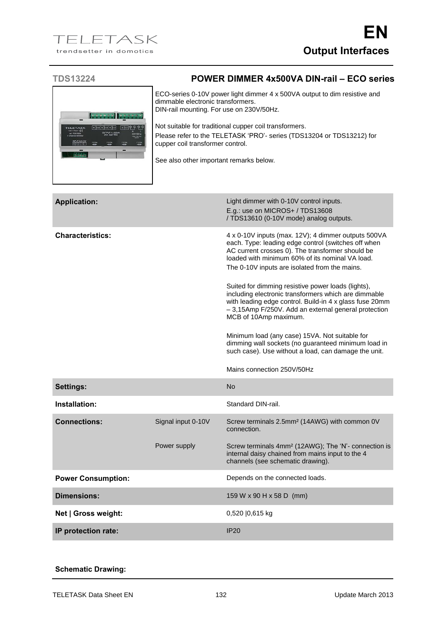## **TDS13224 POWER DIMMER 4x500VA DIN-rail – ECO series**

ECO-series 0-10V power light dimmer 4 x 500VA output to dim resistive and dimmable electronic transformers. DIN-rail mounting. For use on 230V/50Hz. Not suitable for traditional cupper coil transformers. ېم Please refer to the TELETASK 'PRO'- series (TDS13204 or TDS13212) for cupper coil transformer control. See also other important remarks below.

| <b>Application:</b>       |                    | Light dimmer with 0-10V control inputs.<br>E.g.: use on MICROS+ / TDS13608<br>/ TDS13610 (0-10V mode) analog outputs.                                                                                                                                                                                                                                                                                                                                                                                                                                                                                                                                                                                                       |
|---------------------------|--------------------|-----------------------------------------------------------------------------------------------------------------------------------------------------------------------------------------------------------------------------------------------------------------------------------------------------------------------------------------------------------------------------------------------------------------------------------------------------------------------------------------------------------------------------------------------------------------------------------------------------------------------------------------------------------------------------------------------------------------------------|
| <b>Characteristics:</b>   |                    | 4 x 0-10V inputs (max. 12V); 4 dimmer outputs 500VA<br>each. Type: leading edge control (switches off when<br>AC current crosses 0). The transformer should be<br>loaded with minimum 60% of its nominal VA load.<br>The 0-10V inputs are isolated from the mains.<br>Suited for dimming resistive power loads (lights),<br>including electronic transformers which are dimmable<br>with leading edge control. Build-in 4 x glass fuse 20mm<br>- 3,15Amp F/250V. Add an external general protection<br>MCB of 10Amp maximum.<br>Minimum load (any case) 15VA. Not suitable for<br>dimming wall sockets (no guaranteed minimum load in<br>such case). Use without a load, can damage the unit.<br>Mains connection 250V/50Hz |
| <b>Settings:</b>          |                    | <b>No</b>                                                                                                                                                                                                                                                                                                                                                                                                                                                                                                                                                                                                                                                                                                                   |
| Installation:             |                    | Standard DIN-rail.                                                                                                                                                                                                                                                                                                                                                                                                                                                                                                                                                                                                                                                                                                          |
| <b>Connections:</b>       | Signal input 0-10V | Screw terminals 2.5mm <sup>2</sup> (14AWG) with common 0V<br>connection.                                                                                                                                                                                                                                                                                                                                                                                                                                                                                                                                                                                                                                                    |
|                           | Power supply       | Screw terminals 4mm <sup>2</sup> (12AWG); The 'N'- connection is<br>internal daisy chained from mains input to the 4<br>channels (see schematic drawing).                                                                                                                                                                                                                                                                                                                                                                                                                                                                                                                                                                   |
| <b>Power Consumption:</b> |                    | Depends on the connected loads.                                                                                                                                                                                                                                                                                                                                                                                                                                                                                                                                                                                                                                                                                             |
| <b>Dimensions:</b>        |                    | 159 W x 90 H x 58 D (mm)                                                                                                                                                                                                                                                                                                                                                                                                                                                                                                                                                                                                                                                                                                    |
| Net   Gross weight:       |                    | 0,520   0,615 kg                                                                                                                                                                                                                                                                                                                                                                                                                                                                                                                                                                                                                                                                                                            |
| IP protection rate:       |                    | <b>IP20</b>                                                                                                                                                                                                                                                                                                                                                                                                                                                                                                                                                                                                                                                                                                                 |

## **Schematic Drawing:**